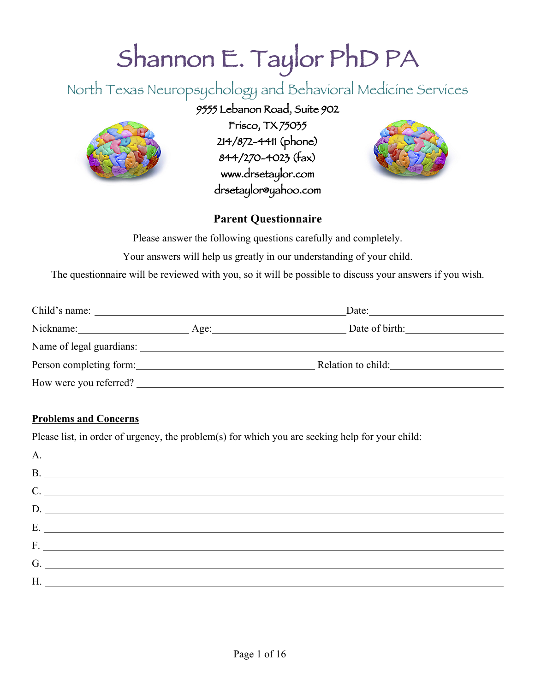# Shannon E. Taylor PhD PA

North Texas Neuropsychology and Behavioral Medicine Services

# 9555 Lebanon Road, Suite 902



Frisco, TX 75035 214/872-4411 (phone) 844/270-4023 (fax) www.drsetaylor.com drsetaylor@yahoo.com



### **Parent Questionnaire**

Please answer the following questions carefully and completely.

Your answers will help us greatly in our understanding of your child.

The questionnaire will be reviewed with you, so it will be possible to discuss your answers if you wish.

| Child's name:           |  | Date:                  |  |  |
|-------------------------|--|------------------------|--|--|
| Nickname:               |  | Date of birth:<br>Age: |  |  |
|                         |  |                        |  |  |
| Person completing form: |  | Relation to child:     |  |  |
| How were you referred?  |  |                        |  |  |

#### **Problems and Concerns**

Please list, in order of urgency, the problem(s) for which you are seeking help for your child:

| $C.$ $\qquad \qquad$ |
|----------------------|
| D.                   |
| E.                   |
|                      |
|                      |
|                      |
|                      |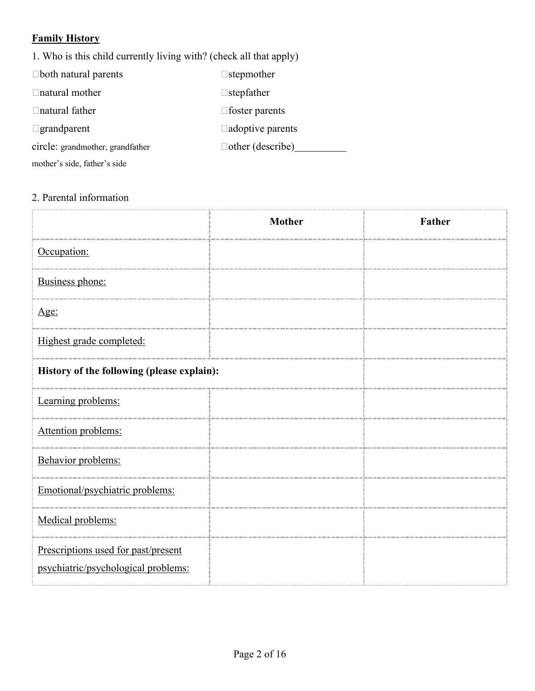# **Family History**

1. Who is this child currently living with? (check all that apply)

| $\Box$ both natural parents      | $\Box$ stepmother       |
|----------------------------------|-------------------------|
| $\Box$ natural mother            | $\Box$ stepfather       |
| $\Box$ natural father            | $\Box$ foster parents   |
| $\Box$ grandparent               | $\Box$ adoptive parents |
| circle: grandmother, grandfather | $\Box$ other (describe) |
| mother's side, father's side     |                         |

### 2. Parental information

|                                                                            | <b>Mother</b> | Father |
|----------------------------------------------------------------------------|---------------|--------|
| Occupation:                                                                |               |        |
| Business phone:                                                            |               |        |
| <u>Age:</u>                                                                |               |        |
| Highest grade completed:                                                   |               |        |
| History of the following (please explain):                                 |               |        |
| Learning problems:                                                         |               |        |
| Attention problems:                                                        |               |        |
| Behavior problems:                                                         |               |        |
| Emotional/psychiatric problems:                                            |               |        |
| Medical problems:                                                          |               |        |
| Prescriptions used for past/present<br>psychiatric/psychological problems: |               |        |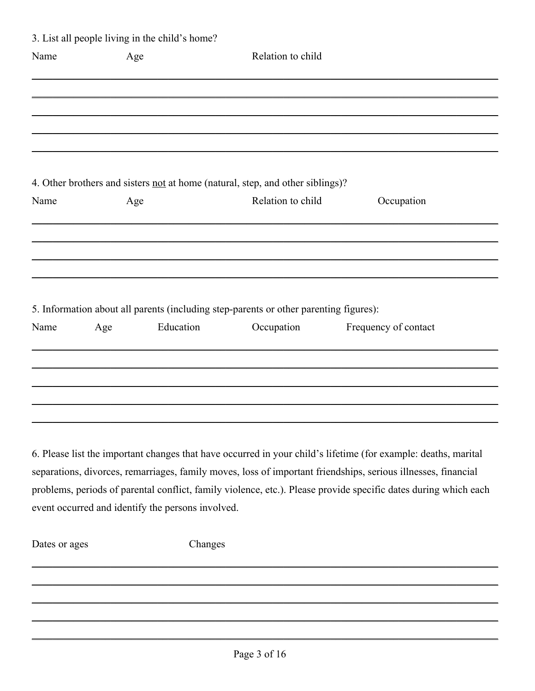|      |     | 3. List all people living in the child's home?    |                                                                                       |                                                                                                                 |
|------|-----|---------------------------------------------------|---------------------------------------------------------------------------------------|-----------------------------------------------------------------------------------------------------------------|
| Name | Age |                                                   | Relation to child                                                                     |                                                                                                                 |
|      |     |                                                   |                                                                                       |                                                                                                                 |
|      |     |                                                   |                                                                                       |                                                                                                                 |
|      |     |                                                   |                                                                                       |                                                                                                                 |
|      |     |                                                   | 4. Other brothers and sisters <u>not</u> at home (natural, step, and other siblings)? |                                                                                                                 |
| Name | Age |                                                   | Relation to child                                                                     | Occupation                                                                                                      |
|      |     |                                                   |                                                                                       |                                                                                                                 |
|      |     |                                                   |                                                                                       |                                                                                                                 |
|      |     |                                                   |                                                                                       |                                                                                                                 |
|      |     |                                                   | 5. Information about all parents (including step-parents or other parenting figures): |                                                                                                                 |
| Name | Age | Education                                         | Occupation                                                                            | Frequency of contact                                                                                            |
|      |     |                                                   |                                                                                       |                                                                                                                 |
|      |     |                                                   |                                                                                       |                                                                                                                 |
|      |     |                                                   |                                                                                       |                                                                                                                 |
|      |     |                                                   |                                                                                       | 6. Please list the important changes that have occurred in your child's lifetime (for example: deaths, marital  |
|      |     |                                                   |                                                                                       | separations, divorces, remarriages, family moves, loss of important friendships, serious illnesses, financial   |
|      |     |                                                   |                                                                                       | problems, periods of parental conflict, family violence, etc.). Please provide specific dates during which each |
|      |     | event occurred and identify the persons involved. |                                                                                       |                                                                                                                 |
|      |     |                                                   |                                                                                       |                                                                                                                 |

Dates or ages

Changes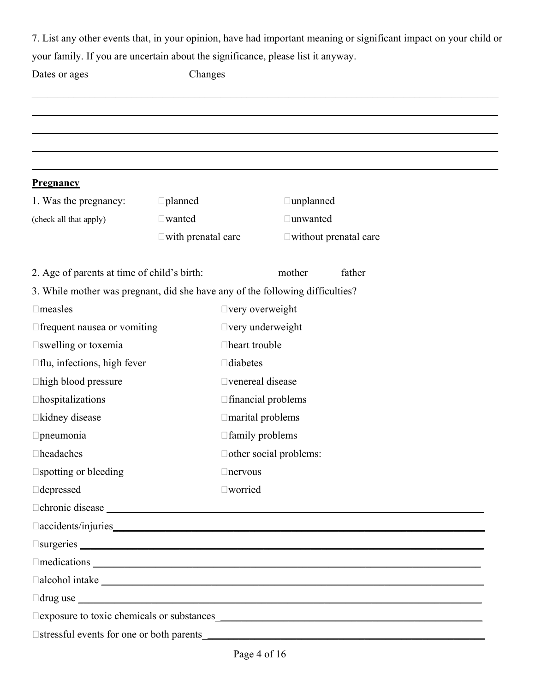7. List any other events that, in your opinion, have had important meaning or significant impact on your child or your family. If you are uncertain about the significance, please list it anyway.

| Dates or ages                                                                                                                                                                                                                  | Changes                      |                               |                           |                                 |  |  |
|--------------------------------------------------------------------------------------------------------------------------------------------------------------------------------------------------------------------------------|------------------------------|-------------------------------|---------------------------|---------------------------------|--|--|
|                                                                                                                                                                                                                                |                              |                               |                           |                                 |  |  |
|                                                                                                                                                                                                                                |                              |                               |                           |                                 |  |  |
|                                                                                                                                                                                                                                |                              |                               |                           |                                 |  |  |
|                                                                                                                                                                                                                                |                              |                               |                           |                                 |  |  |
| <u>Pregnancy</u>                                                                                                                                                                                                               |                              |                               |                           |                                 |  |  |
| 1. Was the pregnancy:                                                                                                                                                                                                          | $\Box$ planned               |                               | $\Box$ unplanned          |                                 |  |  |
| (check all that apply)                                                                                                                                                                                                         | $\square$ wanted             |                               | □unwanted                 |                                 |  |  |
|                                                                                                                                                                                                                                | $\square$ with prenatal care |                               |                           | $\square$ without prenatal care |  |  |
| 2. Age of parents at time of child's birth:                                                                                                                                                                                    |                              |                               | mother                    | father                          |  |  |
| 3. While mother was pregnant, did she have any of the following difficulties?                                                                                                                                                  |                              |                               |                           |                                 |  |  |
| $\Box$ measles                                                                                                                                                                                                                 |                              |                               | $\Box$ very overweight    |                                 |  |  |
| $\Box$ frequent nausea or vomiting                                                                                                                                                                                             |                              | $\Box$ very underweight       |                           |                                 |  |  |
| □swelling or toxemia                                                                                                                                                                                                           |                              | □heart trouble                |                           |                                 |  |  |
| $\Box$ flu, infections, high fever                                                                                                                                                                                             |                              | $\Box$ diabetes               |                           |                                 |  |  |
| $\Box$ high blood pressure                                                                                                                                                                                                     |                              | □ venereal disease            |                           |                                 |  |  |
| $\Box$ hospitalizations                                                                                                                                                                                                        |                              |                               | $\Box$ financial problems |                                 |  |  |
| □kidney disease                                                                                                                                                                                                                |                              |                               | $\Box$ marital problems   |                                 |  |  |
| $\Box$ pneumonia                                                                                                                                                                                                               |                              | □ family problems             |                           |                                 |  |  |
| $\Box$ headaches                                                                                                                                                                                                               |                              | $\Box$ other social problems: |                           |                                 |  |  |
| $\square$ spotting or bleeding                                                                                                                                                                                                 |                              | $\Box$ nervous                |                           |                                 |  |  |
| $\Box$ depressed                                                                                                                                                                                                               |                              | □worried                      |                           |                                 |  |  |
|                                                                                                                                                                                                                                |                              |                               |                           |                                 |  |  |
|                                                                                                                                                                                                                                |                              |                               |                           |                                 |  |  |
| Surgeries Sandwich and the set of the set of the set of the set of the set of the set of the set of the set of the set of the set of the set of the set of the set of the set of the set of the set of the set of the set of t |                              |                               |                           |                                 |  |  |
| $\Box$ medications $\Box$                                                                                                                                                                                                      |                              |                               |                           |                                 |  |  |
| $\Box$ alcohol intake                                                                                                                                                                                                          |                              |                               |                           |                                 |  |  |
| $\Box$ drug use $\Box$                                                                                                                                                                                                         |                              |                               |                           |                                 |  |  |
|                                                                                                                                                                                                                                |                              |                               |                           |                                 |  |  |
| □ stressful events for one or both parents                                                                                                                                                                                     |                              |                               |                           |                                 |  |  |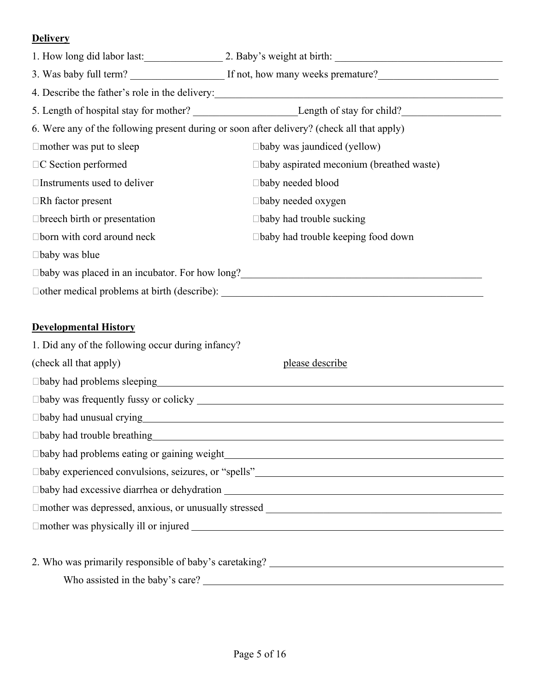### **Delivery**

| 1. How long did labor last:                                                                |                                                      |
|--------------------------------------------------------------------------------------------|------------------------------------------------------|
| 3. Was baby full term?                                                                     | If not, how many weeks premature?                    |
|                                                                                            | 4. Describe the father's role in the delivery:       |
|                                                                                            |                                                      |
| 6. Were any of the following present during or soon after delivery? (check all that apply) |                                                      |
| $\Box$ mother was put to sleep                                                             | $\Box$ baby was jaundiced (yellow)                   |
| $\Box C$ Section performed                                                                 | $\Box$ baby aspirated meconium (breathed waste)      |
| $\Box$ Instruments used to deliver                                                         | $\Box$ baby needed blood                             |
| $\Box$ Rh factor present                                                                   | $\Box$ baby needed oxygen                            |
| $\Box$ breech birth or presentation                                                        | $\Box$ baby had trouble sucking                      |
| $\Box$ born with cord around neck                                                          | $\Box$ baby had trouble keeping food down            |
| $\Box$ baby was blue                                                                       |                                                      |
|                                                                                            | □baby was placed in an incubator. For how long?<br>□ |
|                                                                                            |                                                      |

## **Developmental History**

| 1. Did any of the following occur during infancy?                                                                                                                                                                                   |                 |
|-------------------------------------------------------------------------------------------------------------------------------------------------------------------------------------------------------------------------------------|-----------------|
| (check all that apply)                                                                                                                                                                                                              | please describe |
| □baby had problems sleeping<br><u>□baby had problems sleeping</u>                                                                                                                                                                   |                 |
| $\Box$ baby was frequently fussy or colicky $\Box$                                                                                                                                                                                  |                 |
| □baby had unusual crying <u>contract and the set of the set of the set of the set of the set of the set of the set of</u>                                                                                                           |                 |
| □baby had trouble breathing <u>contained by the set of the set of the set of the set of the set of the set of the set of the set of the set of the set of the set of the set of the set of the set of the set of the set of the</u> |                 |
|                                                                                                                                                                                                                                     |                 |
|                                                                                                                                                                                                                                     |                 |
|                                                                                                                                                                                                                                     |                 |
|                                                                                                                                                                                                                                     |                 |
| $\Box$ mother was physically ill or injured $\Box$                                                                                                                                                                                  |                 |
|                                                                                                                                                                                                                                     |                 |
| 2. Who was primarily responsible of baby's caretaking? _________________________                                                                                                                                                    |                 |
| Who assisted in the baby's care?                                                                                                                                                                                                    |                 |
|                                                                                                                                                                                                                                     |                 |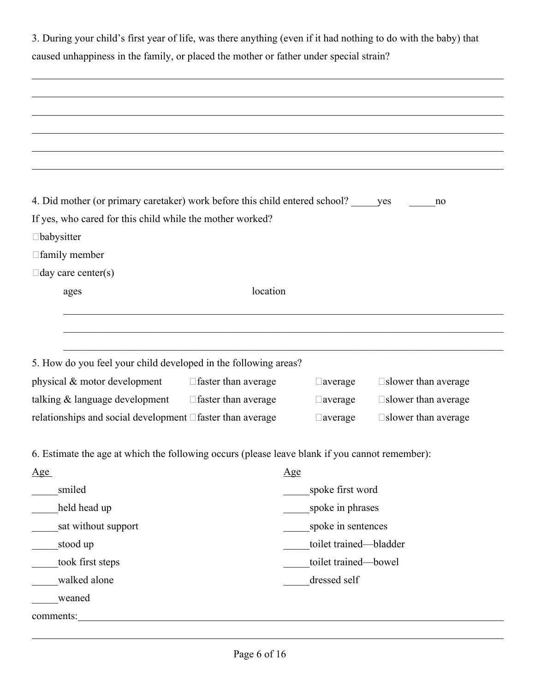| 3. During your child's first year of life, was there anything (even if it had nothing to do with the baby) that |
|-----------------------------------------------------------------------------------------------------------------|
| caused unhappiness in the family, or placed the mother or father under special strain?                          |

| 4. Did mother (or primary caretaker) work before this child entered school? yes                |                            |                        | no                            |
|------------------------------------------------------------------------------------------------|----------------------------|------------------------|-------------------------------|
| If yes, who cared for this child while the mother worked?                                      |                            |                        |                               |
| $\Box$ babysitter                                                                              |                            |                        |                               |
| □ family member                                                                                |                            |                        |                               |
| $\Box$ day care center(s)                                                                      |                            |                        |                               |
| ages                                                                                           | location                   |                        |                               |
|                                                                                                |                            |                        |                               |
|                                                                                                |                            |                        |                               |
|                                                                                                |                            |                        |                               |
| 5. How do you feel your child developed in the following areas?                                |                            |                        |                               |
| physical & motor development                                                                   | $\Box$ faster than average | $\Box$ average         | $\square$ slower than average |
| talking & language development                                                                 | □ faster than average      | $\Box$ average         | $\square$ slower than average |
| relationships and social development $\Box$ faster than average                                |                            | $\Box$ average         | □ slower than average         |
|                                                                                                |                            |                        |                               |
| 6. Estimate the age at which the following occurs (please leave blank if you cannot remember): |                            |                        |                               |
| Age                                                                                            |                            | Age                    |                               |
| smiled                                                                                         |                            | spoke first word       |                               |
| held head up                                                                                   |                            | spoke in phrases       |                               |
| sat without support                                                                            |                            | spoke in sentences     |                               |
| stood up                                                                                       |                            | toilet trained-bladder |                               |
| took first steps                                                                               |                            | toilet trained-bowel   |                               |
| walked alone                                                                                   |                            | dressed self           |                               |
| weaned                                                                                         |                            |                        |                               |
| comments: <u>comments</u> :                                                                    |                            |                        |                               |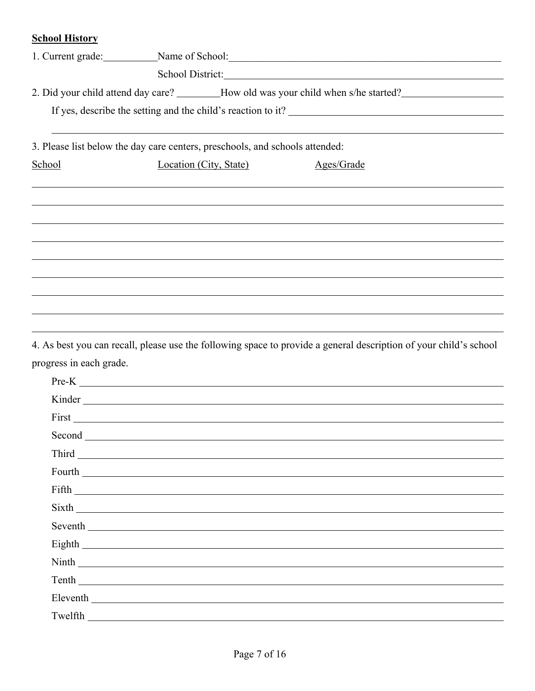### **School History**

|                                                                              |                        | 1. Current grade: Name of School: Name of School:                                    |
|------------------------------------------------------------------------------|------------------------|--------------------------------------------------------------------------------------|
|                                                                              |                        |                                                                                      |
|                                                                              |                        | 2. Did your child attend day care? ________How old was your child when s/he started? |
|                                                                              |                        |                                                                                      |
| 3. Please list below the day care centers, preschools, and schools attended: |                        |                                                                                      |
| School                                                                       | Location (City, State) | Ages/Grade                                                                           |
|                                                                              |                        |                                                                                      |
|                                                                              |                        |                                                                                      |
|                                                                              |                        |                                                                                      |
|                                                                              |                        |                                                                                      |
|                                                                              |                        |                                                                                      |
|                                                                              |                        |                                                                                      |
|                                                                              |                        |                                                                                      |
|                                                                              |                        |                                                                                      |
|                                                                              |                        |                                                                                      |

4. As best you can recall, please use the following space to provide a general description of your child's school progress in each grade.

| $Pre-K$ |
|---------|
| Kinder  |
|         |
|         |
|         |
|         |
|         |
|         |
|         |
|         |
|         |
|         |
|         |
|         |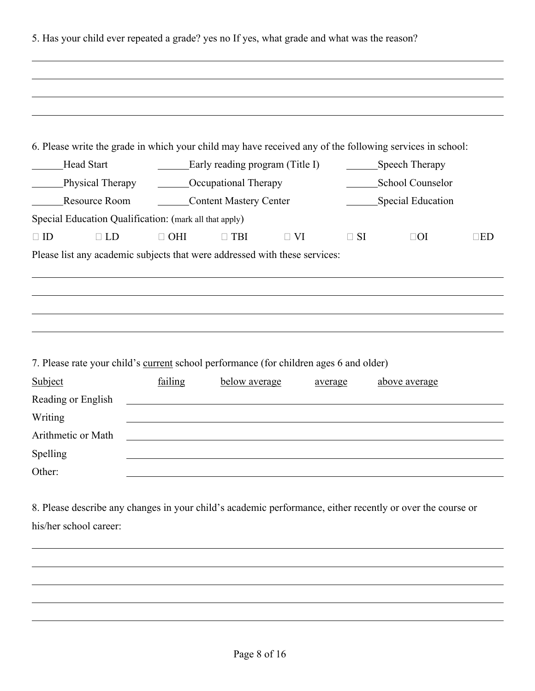|                                                                                                                                                          |                                                                                                                       |                                 |           |           | 6. Please write the grade in which your child may have received any of the following services in school: |           |  |
|----------------------------------------------------------------------------------------------------------------------------------------------------------|-----------------------------------------------------------------------------------------------------------------------|---------------------------------|-----------|-----------|----------------------------------------------------------------------------------------------------------|-----------|--|
| <b>Head Start</b>                                                                                                                                        |                                                                                                                       | Early reading program (Title I) |           |           | Speech Therapy                                                                                           |           |  |
| Physical Therapy                                                                                                                                         |                                                                                                                       | <b>COCCUPATION</b> COCUPATION   |           |           | School Counselor                                                                                         |           |  |
| Resource Room                                                                                                                                            |                                                                                                                       | Content Mastery Center          |           |           | Special Education                                                                                        |           |  |
| Special Education Qualification: (mark all that apply)                                                                                                   |                                                                                                                       |                                 |           |           |                                                                                                          |           |  |
| $\Box$ ID<br>$\Box$ LD<br>Please list any academic subjects that were addressed with these services:                                                     | $\Box$ OHI                                                                                                            | $\Box$ TBI                      | $\Box$ VI | $\Box$ SI | $\Box$ OI                                                                                                | $\Box$ ED |  |
|                                                                                                                                                          |                                                                                                                       |                                 |           |           |                                                                                                          |           |  |
|                                                                                                                                                          | failing                                                                                                               | below average                   |           | average   | above average                                                                                            |           |  |
|                                                                                                                                                          |                                                                                                                       |                                 |           |           |                                                                                                          |           |  |
|                                                                                                                                                          |                                                                                                                       |                                 |           |           |                                                                                                          |           |  |
| 7. Please rate your child's current school performance (for children ages 6 and older)<br>Subject<br>Reading or English<br>Writing<br>Arithmetic or Math | <u> 1989 - Johann Stoff, deutscher Stoff, der Stoff, der Stoff, der Stoff, der Stoff, der Stoff, der Stoff, der S</u> |                                 |           |           |                                                                                                          |           |  |
| Spelling                                                                                                                                                 |                                                                                                                       |                                 |           |           |                                                                                                          |           |  |
| Other:                                                                                                                                                   |                                                                                                                       |                                 |           |           |                                                                                                          |           |  |
| 8. Please describe any changes in your child's academic performance, either recently or over the course or                                               |                                                                                                                       |                                 |           |           |                                                                                                          |           |  |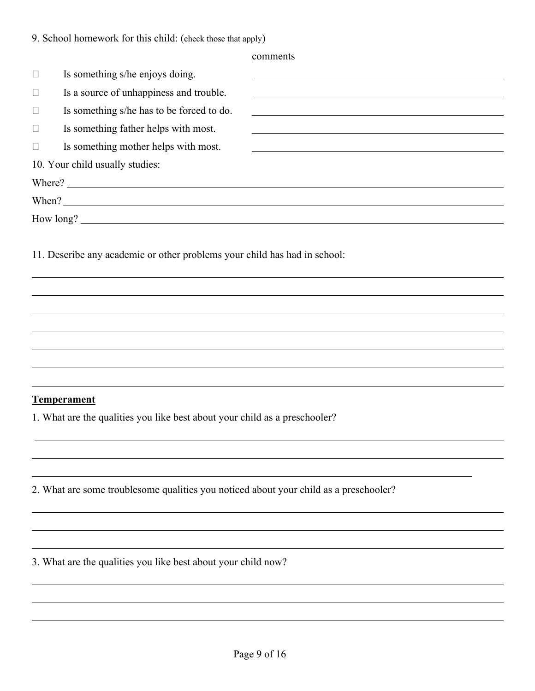comments

|              | Is something s/he enjoys doing.                                                       |                                                                                                                      |
|--------------|---------------------------------------------------------------------------------------|----------------------------------------------------------------------------------------------------------------------|
| Ц            | Is a source of unhappiness and trouble.                                               | <u> 1980 - Johann Barbara, martin amerikan basar dan berasal dalam basa dalam basar dalam basar dalam basar dala</u> |
|              | Is something s/he has to be forced to do.                                             |                                                                                                                      |
| $\Box$       | Is something father helps with most.                                                  |                                                                                                                      |
| $\mathbf{L}$ | Is something mother helps with most.                                                  |                                                                                                                      |
|              | 10. Your child usually studies:                                                       |                                                                                                                      |
|              |                                                                                       |                                                                                                                      |
|              |                                                                                       |                                                                                                                      |
|              |                                                                                       |                                                                                                                      |
|              |                                                                                       |                                                                                                                      |
|              | <b>Temperament</b>                                                                    |                                                                                                                      |
|              | 1. What are the qualities you like best about your child as a preschooler?            |                                                                                                                      |
|              |                                                                                       |                                                                                                                      |
|              | 2. What are some troublesome qualities you noticed about your child as a preschooler? |                                                                                                                      |
|              |                                                                                       |                                                                                                                      |

3. What are the qualities you like best about your child now?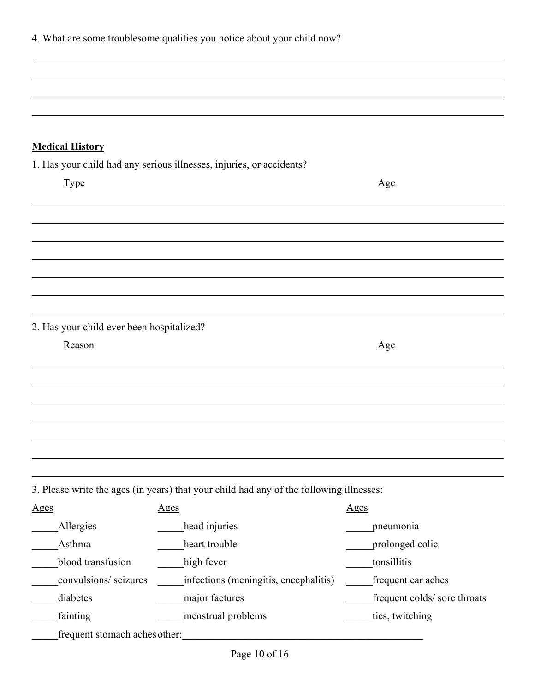|                                           | 4. What are some troublesome qualities you notice about your child now?                                                |                              |
|-------------------------------------------|------------------------------------------------------------------------------------------------------------------------|------------------------------|
|                                           |                                                                                                                        |                              |
|                                           |                                                                                                                        |                              |
|                                           |                                                                                                                        |                              |
|                                           |                                                                                                                        |                              |
|                                           |                                                                                                                        |                              |
| <b>Medical History</b>                    |                                                                                                                        |                              |
|                                           | 1. Has your child had any serious illnesses, injuries, or accidents?                                                   |                              |
| <b>Type</b>                               |                                                                                                                        | $\mathbf{Age}$               |
|                                           |                                                                                                                        |                              |
|                                           |                                                                                                                        |                              |
|                                           |                                                                                                                        |                              |
|                                           |                                                                                                                        |                              |
|                                           |                                                                                                                        |                              |
|                                           |                                                                                                                        |                              |
| 2. Has your child ever been hospitalized? |                                                                                                                        |                              |
| Reason                                    |                                                                                                                        | $\Delta$ ge                  |
|                                           |                                                                                                                        |                              |
|                                           |                                                                                                                        |                              |
|                                           |                                                                                                                        |                              |
|                                           |                                                                                                                        |                              |
|                                           |                                                                                                                        |                              |
|                                           |                                                                                                                        |                              |
|                                           | 3. Please write the ages (in years) that your child had any of the following illnesses:                                |                              |
| <u>Ages</u>                               | <u>Ages</u>                                                                                                            | <u>Ages</u>                  |
| Allergies                                 | head injuries                                                                                                          | pneumonia                    |
| Asthma                                    | heart trouble                                                                                                          | prolonged colic              |
| blood transfusion                         | high fever                                                                                                             | tonsillitis                  |
| convulsions/ seizures                     | infections (meningitis, encephalitis)                                                                                  | frequent ear aches           |
| diabetes                                  | major factures                                                                                                         | frequent colds/ sore throats |
| fainting                                  | menstrual problems                                                                                                     | tics, twitching              |
| frequent stomach aches other:             | <u> 1980 - Johann John Stein, marwolaeth a bhann an t-Amhainn an t-Amhainn an t-Amhainn an t-Amhainn an t-Amhainn </u> |                              |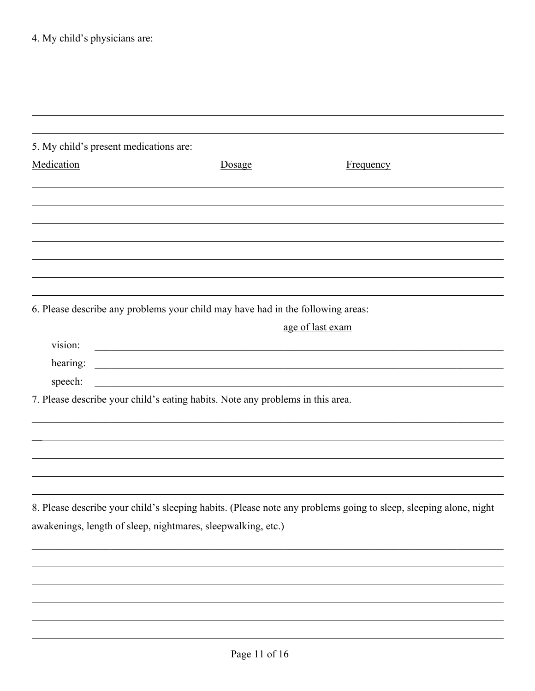| 4. My child's physicians are:          |                                                                                                                         |                                                                                                                  |
|----------------------------------------|-------------------------------------------------------------------------------------------------------------------------|------------------------------------------------------------------------------------------------------------------|
|                                        |                                                                                                                         |                                                                                                                  |
|                                        |                                                                                                                         |                                                                                                                  |
|                                        |                                                                                                                         |                                                                                                                  |
|                                        |                                                                                                                         |                                                                                                                  |
| 5. My child's present medications are: |                                                                                                                         |                                                                                                                  |
| Medication                             | Dosage                                                                                                                  | <b>Frequency</b>                                                                                                 |
|                                        |                                                                                                                         |                                                                                                                  |
|                                        |                                                                                                                         |                                                                                                                  |
|                                        |                                                                                                                         |                                                                                                                  |
|                                        |                                                                                                                         |                                                                                                                  |
|                                        |                                                                                                                         |                                                                                                                  |
|                                        |                                                                                                                         |                                                                                                                  |
|                                        | 6. Please describe any problems your child may have had in the following areas:                                         |                                                                                                                  |
|                                        |                                                                                                                         | age of last exam                                                                                                 |
| vision:                                | <u> 1989 - Johann John Stein, mars ar yw i brenin y cynnwys y cynnwys y cynnwys y cynnwys y cynnwys y cynnwys y c</u>   |                                                                                                                  |
| hearing:                               | <u> 1989 - Johann Stoff, deutscher Stoffen und der Stoffen und der Stoffen und der Stoffen und der Stoffen und der </u> |                                                                                                                  |
| speech:                                | 7. Please describe your child's eating habits. Note any problems in this area.                                          |                                                                                                                  |
|                                        |                                                                                                                         |                                                                                                                  |
|                                        |                                                                                                                         |                                                                                                                  |
|                                        |                                                                                                                         |                                                                                                                  |
|                                        |                                                                                                                         |                                                                                                                  |
|                                        |                                                                                                                         |                                                                                                                  |
|                                        | awakenings, length of sleep, nightmares, sleepwalking, etc.)                                                            | 8. Please describe your child's sleeping habits. (Please note any problems going to sleep, sleeping alone, night |
|                                        |                                                                                                                         |                                                                                                                  |
|                                        |                                                                                                                         |                                                                                                                  |
|                                        |                                                                                                                         |                                                                                                                  |
|                                        |                                                                                                                         |                                                                                                                  |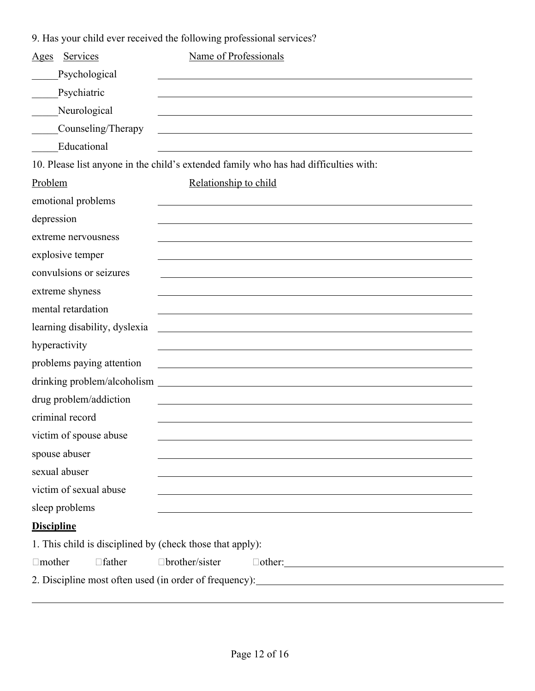9. Has your child ever received the following professional services?

| Services<br>Ages                                          | Name of Professionals                                                                                                 |
|-----------------------------------------------------------|-----------------------------------------------------------------------------------------------------------------------|
| Psychological                                             |                                                                                                                       |
| Psychiatric                                               |                                                                                                                       |
| Neurological                                              |                                                                                                                       |
| Counseling/Therapy                                        |                                                                                                                       |
| Educational                                               |                                                                                                                       |
|                                                           | 10. Please list anyone in the child's extended family who has had difficulties with:                                  |
| Problem                                                   | Relationship to child                                                                                                 |
| emotional problems                                        |                                                                                                                       |
| depression                                                |                                                                                                                       |
| extreme nervousness                                       |                                                                                                                       |
| explosive temper                                          |                                                                                                                       |
| convulsions or seizures                                   |                                                                                                                       |
| extreme shyness                                           |                                                                                                                       |
| mental retardation                                        |                                                                                                                       |
| learning disability, dyslexia                             |                                                                                                                       |
| hyperactivity                                             |                                                                                                                       |
| problems paying attention                                 |                                                                                                                       |
|                                                           |                                                                                                                       |
| drug problem/addiction                                    |                                                                                                                       |
| criminal record                                           |                                                                                                                       |
| victim of spouse abuse                                    |                                                                                                                       |
| spouse abuser                                             |                                                                                                                       |
| sexual abuser                                             |                                                                                                                       |
| victim of sexual abuse                                    | <u> 1989 - John Stein, september 1989 - John Stein, september 1989 - John Stein, september 1989 - John Stein, sep</u> |
| sleep problems                                            |                                                                                                                       |
| <b>Discipline</b>                                         |                                                                                                                       |
| 1. This child is disciplined by (check those that apply): |                                                                                                                       |
| $\Box$ father<br>$\Box$ mother                            | □brother/sister<br>$\Box$ other:                                                                                      |
|                                                           | 2. Discipline most often used (in order of frequency): __________________________                                     |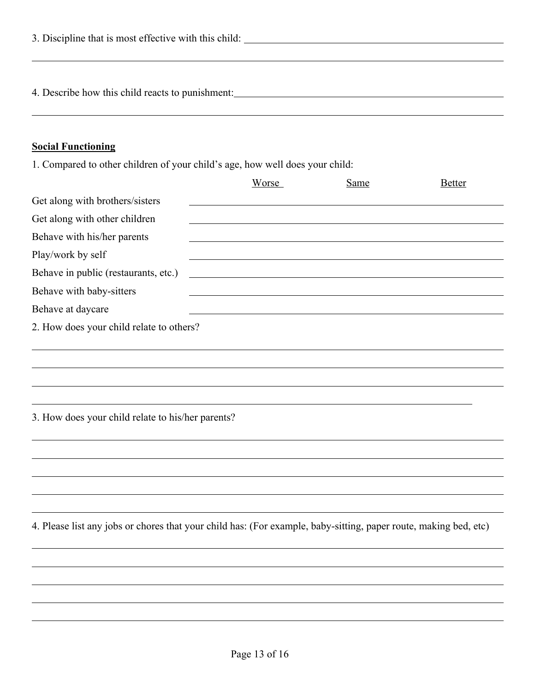| 3. Discipline that is most effective with this child: |  |
|-------------------------------------------------------|--|
|                                                       |  |
|                                                       |  |
| 4. Describe how this child reacts to punishment:      |  |

# **Social Functioning**

1. Compared to other children of your child's age, how well does your child:

|                                                                                                                  | Worse | <b>Same</b> | <b>Better</b> |
|------------------------------------------------------------------------------------------------------------------|-------|-------------|---------------|
| Get along with brothers/sisters                                                                                  |       |             |               |
| Get along with other children                                                                                    |       |             |               |
| Behave with his/her parents                                                                                      |       |             |               |
| Play/work by self                                                                                                |       |             |               |
| Behave in public (restaurants, etc.)                                                                             |       |             |               |
| Behave with baby-sitters                                                                                         |       |             |               |
| Behave at daycare                                                                                                |       |             |               |
| 2. How does your child relate to others?                                                                         |       |             |               |
|                                                                                                                  |       |             |               |
|                                                                                                                  |       |             |               |
|                                                                                                                  |       |             |               |
|                                                                                                                  |       |             |               |
| 3. How does your child relate to his/her parents?                                                                |       |             |               |
|                                                                                                                  |       |             |               |
|                                                                                                                  |       |             |               |
|                                                                                                                  |       |             |               |
|                                                                                                                  |       |             |               |
| 4. Please list any jobs or chores that your child has: (For example, baby-sitting, paper route, making bed, etc) |       |             |               |
|                                                                                                                  |       |             |               |
|                                                                                                                  |       |             |               |
|                                                                                                                  |       |             |               |
|                                                                                                                  |       |             |               |
|                                                                                                                  |       |             |               |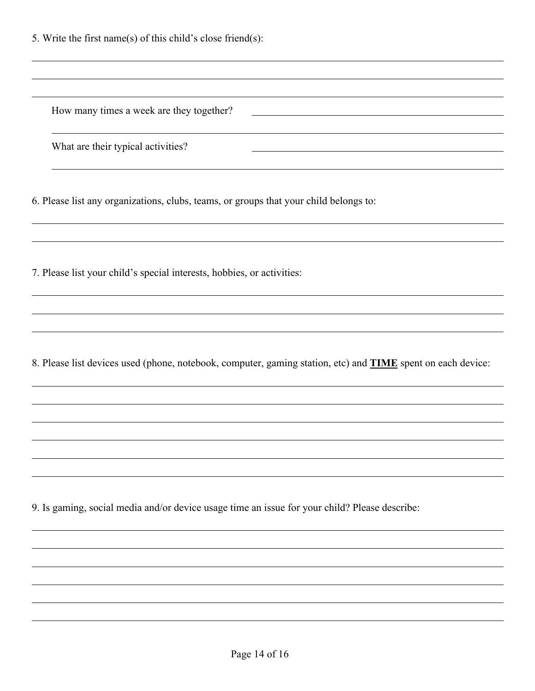5. Write the first name(s) of this child's close friend(s):

How many times a week are they together?

What are their typical activities?

6. Please list any organizations, clubs, teams, or groups that your child belongs to:

7. Please list your child's special interests, hobbies, or activities:

8. Please list devices used (phone, notebook, computer, gaming station, etc) and **TIME** spent on each device:

9. Is gaming, social media and/or device usage time an issue for your child? Please describe: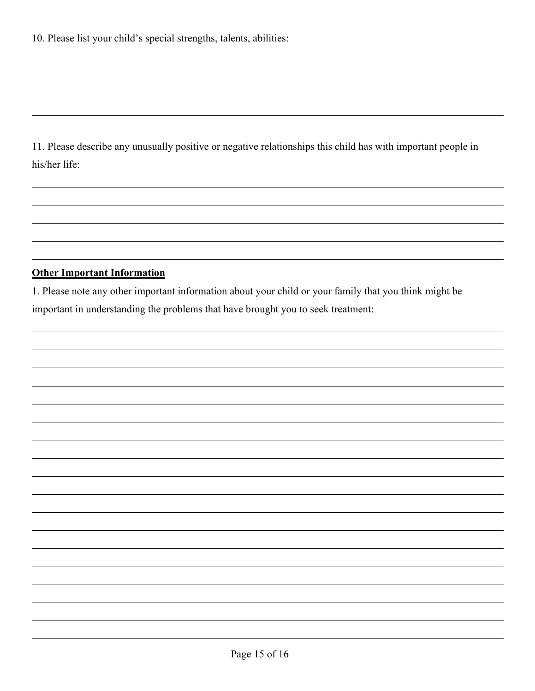11. Please describe any unusually positive or negative relationships this child has with important people in his/her life:

#### **Other Important Information**

1. Please note any other important information about your child or your family that you think might be important in understanding the problems that have brought you to seek treatment: